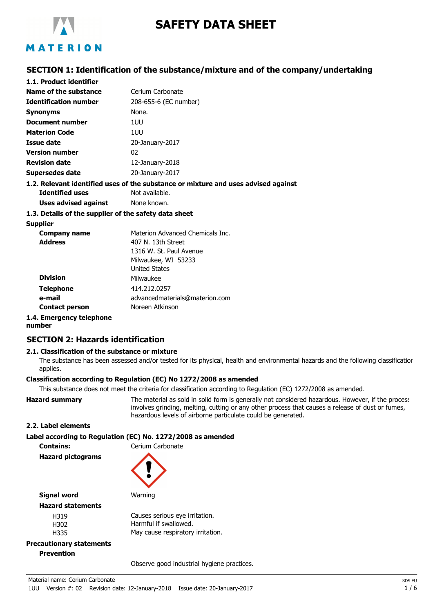

# **SAFETY DATA SHEET**

## **SECTION 1: Identification of the substance/mixture and of the company/undertaking**

| 1.1. Product identifier                               |                                                                                    |
|-------------------------------------------------------|------------------------------------------------------------------------------------|
| Name of the substance                                 | Cerium Carbonate                                                                   |
| <b>Identification number</b>                          | 208-655-6 (EC number)                                                              |
| Synonyms                                              | None.                                                                              |
| Document number                                       | 1UU                                                                                |
| <b>Materion Code</b>                                  | 1UU                                                                                |
| Issue date                                            | 20-January-2017                                                                    |
| <b>Version number</b>                                 | 02                                                                                 |
| <b>Revision date</b>                                  | $12$ -January-2018                                                                 |
| <b>Supersedes date</b>                                | 20-January-2017                                                                    |
|                                                       | 1.2. Relevant identified uses of the substance or mixture and uses advised against |
| <b>Identified uses</b>                                | Not available.                                                                     |
| <b>Uses advised against</b> None known.               |                                                                                    |
| 1.3. Details of the supplier of the safety data sheet |                                                                                    |
| <b>Supplier</b>                                       |                                                                                    |
| Company name                                          | Materion Advanced Chemicals Inc.                                                   |
| <b>Address</b>                                        | 407 N. 13th Street                                                                 |
|                                                       | 1316 W. St. Paul Avenue                                                            |
|                                                       | Milwaukee, WI 53233                                                                |
|                                                       | <b>United States</b>                                                               |

|                       | THINGURCC, IT JULIUS           |
|-----------------------|--------------------------------|
|                       | <b>United States</b>           |
| <b>Division</b>       | Milwaukee                      |
| <b>Telephone</b>      | 414.212.0257                   |
| e-mail                | advancedmaterials@materion.com |
| <b>Contact person</b> | Noreen Atkinson                |
|                       |                                |

## **1.4. Emergency telephone**

**number**

## **SECTION 2: Hazards identification**

### **2.1. Classification of the substance or mixture**

The substance has been assessed and/or tested for its physical, health and environmental hazards and the following classification applies.

### **Classification according to Regulation (EC) No 1272/2008 as amended**

This substance does not meet the criteria for classification according to Regulation (EC) 1272/2008 as amended.

**Hazard summary** The material as sold in solid form is generally not considered hazardous. However, if the process involves grinding, melting, cutting or any other process that causes a release of dust or fumes, hazardous levels of airborne particulate could be generated.

### **2.2. Label elements**

**Label according to Regulation (EC) No. 1272/2008 as amended**

**Contains:** Cerium Carbonate **Hazard pictograms**



| Signal word                     | Warning                                                                                      |
|---------------------------------|----------------------------------------------------------------------------------------------|
| <b>Hazard statements</b>        |                                                                                              |
| H319<br>H302<br>H335            | Causes serious eye irritation.<br>Harmful if swallowed.<br>May cause respiratory irritation. |
| <b>Precautionary statements</b> |                                                                                              |

**Prevention**

Observe good industrial hygiene practices.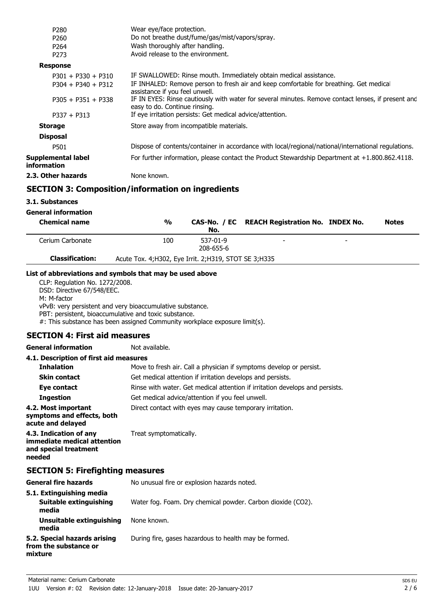| P <sub>280</sub>                  | Wear eye/face protection.                                                                                                           |
|-----------------------------------|-------------------------------------------------------------------------------------------------------------------------------------|
| P <sub>260</sub>                  | Do not breathe dust/fume/gas/mist/vapors/spray.                                                                                     |
| P <sub>264</sub>                  | Wash thoroughly after handling.                                                                                                     |
| P <sub>273</sub>                  | Avoid release to the environment.                                                                                                   |
| <b>Response</b>                   |                                                                                                                                     |
| $P301 + P330 + P310$              | IF SWALLOWED: Rinse mouth. Immediately obtain medical assistance.                                                                   |
| $P304 + P340 + P312$              | IF INHALED: Remove person to fresh air and keep comfortable for breathing. Get medical<br>assistance if you feel unwell.            |
| $P305 + P351 + P338$              | IF IN EYES: Rinse cautiously with water for several minutes. Remove contact lenses, if present and<br>easy to do. Continue rinsing. |
| $P337 + P313$                     | If eye irritation persists: Get medical advice/attention.                                                                           |
| <b>Storage</b>                    | Store away from incompatible materials.                                                                                             |
| <b>Disposal</b>                   |                                                                                                                                     |
| P501                              | Dispose of contents/container in accordance with local/regional/national/international regulations.                                 |
| Supplemental label<br>information | For further information, please contact the Product Stewardship Department at +1.800.862.4118.                                      |
| 2.3. Other hazards                | None known.                                                                                                                         |
|                                   |                                                                                                                                     |

## **SECTION 3: Composition/information on ingredients**

### **3.1. Substances**

#### **General information**

| <b>Chemical name</b>   | $\frac{0}{0}$                                           | No.                     | CAS-No. / EC REACH Registration No. INDEX No. |   | <b>Notes</b> |
|------------------------|---------------------------------------------------------|-------------------------|-----------------------------------------------|---|--------------|
| Cerium Carbonate       | 100                                                     | $537-01-9$<br>208-655-6 | -                                             | - |              |
| <b>Classification:</b> | Acute Tox. 4; H302, Eye Irrit. 2; H319, STOT SE 3; H335 |                         |                                               |   |              |

### **List of abbreviations and symbols that may be used above**

CLP: Regulation No. 1272/2008. DSD: Directive 67/548/EEC. M: M-factor vPvB: very persistent and very bioaccumulative substance. PBT: persistent, bioaccumulative and toxic substance. #: This substance has been assigned Community workplace exposure limit(s).

## **SECTION 4: First aid measures**

**General information** Not available.

**and special treatment**

**needed**

## **4.1. Description of first aid measures**

| <b>Inhalation</b>                                                      | Move to fresh air. Call a physician if symptoms develop or persist.          |
|------------------------------------------------------------------------|------------------------------------------------------------------------------|
| <b>Skin contact</b>                                                    | Get medical attention if irritation develops and persists.                   |
| Eye contact                                                            | Rinse with water. Get medical attention if irritation develops and persists. |
| <b>Ingestion</b>                                                       | Get medical advice/attention if you feel unwell.                             |
| 4.2. Most important<br>symptoms and effects, both<br>acute and delayed | Direct contact with eyes may cause temporary irritation.                     |
| 4.3. Indication of any<br>immediate medical attention                  | Treat symptomatically.                                                       |

## **SECTION 5: Firefighting measures**

| <b>General fire hazards</b>                                      | No unusual fire or explosion hazards noted.                 |
|------------------------------------------------------------------|-------------------------------------------------------------|
| 5.1. Extinguishing media                                         |                                                             |
| Suitable extinguishing<br>media                                  | Water fog. Foam. Dry chemical powder. Carbon dioxide (CO2). |
| Unsuitable extinguishing<br>media                                | None known.                                                 |
| 5.2. Special hazards arising<br>from the substance or<br>mixture | During fire, gases hazardous to health may be formed.       |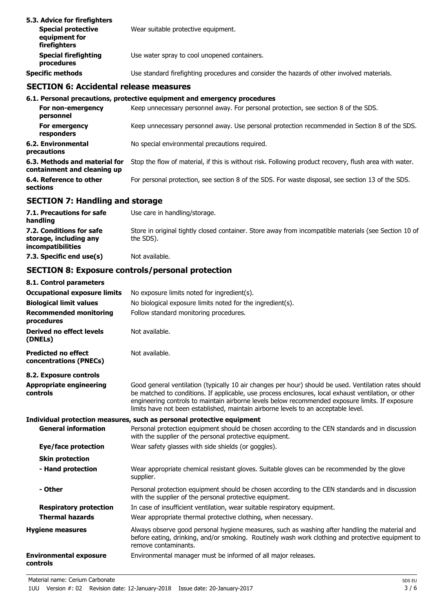| 5.3. Advice for firefighters<br><b>Special protective</b><br>equipment for<br>firefighters | Wear suitable protective equipment.                                                        |
|--------------------------------------------------------------------------------------------|--------------------------------------------------------------------------------------------|
| <b>Special firefighting</b><br>procedures                                                  | Use water spray to cool unopened containers.                                               |
| <b>Specific methods</b>                                                                    | Use standard firefighting procedures and consider the hazards of other involved materials. |

## **SECTION 6: Accidental release measures**

|                                                              | 6.1. Personal precautions, protective equipment and emergency procedures                               |
|--------------------------------------------------------------|--------------------------------------------------------------------------------------------------------|
| For non-emergency<br>personnel                               | Keep unnecessary personnel away. For personal protection, see section 8 of the SDS.                    |
| For emergency<br>responders                                  | Keep unnecessary personnel away. Use personal protection recommended in Section 8 of the SDS.          |
| 6.2. Environmental<br>precautions                            | No special environmental precautions required.                                                         |
| 6.3. Methods and material for<br>containment and cleaning up | Stop the flow of material, if this is without risk. Following product recovery, flush area with water. |
| 6.4. Reference to other<br>sections                          | For personal protection, see section 8 of the SDS. For waste disposal, see section 13 of the SDS.      |

## **SECTION 7: Handling and storage**

| 7.1. Precautions for safe<br>handling                                   | Use care in handling/storage.                                                                                      |
|-------------------------------------------------------------------------|--------------------------------------------------------------------------------------------------------------------|
| 7.2. Conditions for safe<br>storage, including any<br>incompatibilities | Store in original tightly closed container. Store away from incompatible materials (see Section 10 of<br>the SDS). |
| 7.3. Specific end use(s)                                                | Not available.                                                                                                     |

## **SECTION 8: Exposure controls/personal protection**

| 8.1. Control parameters                              |                                                                                                                                                                                                                                                                                                                                                                                                        |
|------------------------------------------------------|--------------------------------------------------------------------------------------------------------------------------------------------------------------------------------------------------------------------------------------------------------------------------------------------------------------------------------------------------------------------------------------------------------|
| <b>Occupational exposure limits</b>                  | No exposure limits noted for ingredient(s).                                                                                                                                                                                                                                                                                                                                                            |
| <b>Biological limit values</b>                       | No biological exposure limits noted for the ingredient(s).                                                                                                                                                                                                                                                                                                                                             |
| <b>Recommended monitoring</b><br>procedures          | Follow standard monitoring procedures.                                                                                                                                                                                                                                                                                                                                                                 |
| Derived no effect levels<br>(DNELs)                  | Not available.                                                                                                                                                                                                                                                                                                                                                                                         |
| <b>Predicted no effect</b><br>concentrations (PNECs) | Not available.                                                                                                                                                                                                                                                                                                                                                                                         |
| 8.2. Exposure controls                               |                                                                                                                                                                                                                                                                                                                                                                                                        |
| <b>Appropriate engineering</b><br><b>controls</b>    | Good general ventilation (typically 10 air changes per hour) should be used. Ventilation rates should<br>be matched to conditions. If applicable, use process enclosures, local exhaust ventilation, or other<br>engineering controls to maintain airborne levels below recommended exposure limits. If exposure<br>limits have not been established, maintain airborne levels to an acceptable level. |
|                                                      | Individual protection measures, such as personal protective equipment                                                                                                                                                                                                                                                                                                                                  |
| <b>General information</b>                           | Personal protection equipment should be chosen according to the CEN standards and in discussion<br>with the supplier of the personal protective equipment.                                                                                                                                                                                                                                             |
| Eye/face protection                                  | Wear safety glasses with side shields (or goggles).                                                                                                                                                                                                                                                                                                                                                    |
| <b>Skin protection</b>                               |                                                                                                                                                                                                                                                                                                                                                                                                        |
| - Hand protection                                    | Wear appropriate chemical resistant gloves. Suitable gloves can be recommended by the glove<br>supplier.                                                                                                                                                                                                                                                                                               |
| - Other                                              | Personal protection equipment should be chosen according to the CEN standards and in discussion<br>with the supplier of the personal protective equipment.                                                                                                                                                                                                                                             |
| <b>Respiratory protection</b>                        | In case of insufficient ventilation, wear suitable respiratory equipment.                                                                                                                                                                                                                                                                                                                              |
| <b>Thermal hazards</b>                               | Wear appropriate thermal protective clothing, when necessary.                                                                                                                                                                                                                                                                                                                                          |
| <b>Hygiene measures</b>                              | Always observe good personal hygiene measures, such as washing after handling the material and<br>before eating, drinking, and/or smoking. Routinely wash work clothing and protective equipment to<br>remove contaminants.                                                                                                                                                                            |
| <b>Environmental exposure</b><br>controls            | Environmental manager must be informed of all major releases.                                                                                                                                                                                                                                                                                                                                          |

Material name: Cerium Carbonate SDS EU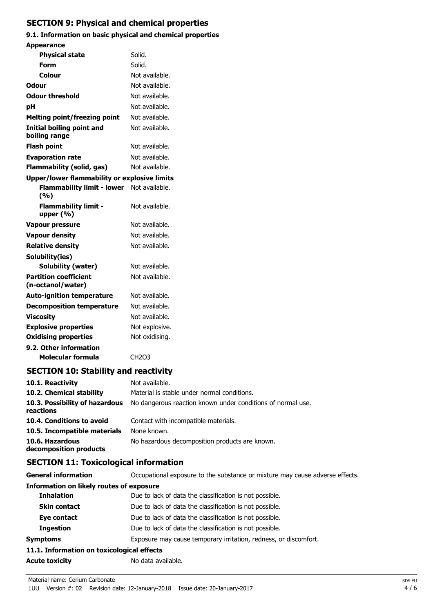## **SECTION 9: Physical and chemical properties**

## **9.1. Information on basic physical and chemical properties Appearance**

| ippearanci                                          |                |  |  |
|-----------------------------------------------------|----------------|--|--|
| <b>Physical state</b>                               | Solid.         |  |  |
| Form                                                | Solid.         |  |  |
| Colour                                              | Not available. |  |  |
| Odour                                               | Not available. |  |  |
| <b>Odour threshold</b>                              | Not available. |  |  |
| рH                                                  | Not available. |  |  |
| <b>Melting point/freezing point</b>                 | Not available. |  |  |
| <b>Initial boiling point and</b><br>boiling range   | Not available. |  |  |
| <b>Flash point</b>                                  | Not available. |  |  |
| <b>Evaporation rate</b>                             | Not available. |  |  |
| <b>Flammability (solid, gas)</b>                    | Not available. |  |  |
| <b>Upper/lower flammability or explosive limits</b> |                |  |  |
| <b>Flammability limit - lower</b><br>(%)            | Not available. |  |  |
| <b>Flammability limit -</b><br>upper (%)            | Not available. |  |  |
| <b>Vapour pressure</b>                              | Not available. |  |  |
| <b>Vapour density</b>                               | Not available. |  |  |
| <b>Relative density</b>                             | Not available. |  |  |
| Solubility(ies)                                     |                |  |  |
| Solubility (water)                                  | Not available. |  |  |
| <b>Partition coefficient</b><br>(n-octanol/water)   | Not available. |  |  |
| <b>Auto-ignition temperature</b>                    | Not available. |  |  |
| <b>Decomposition temperature</b>                    | Not available. |  |  |
| <b>Viscosity</b>                                    | Not available. |  |  |
| <b>Explosive properties</b>                         | Not explosive. |  |  |
| <b>Oxidising properties</b>                         | Not oxidising. |  |  |
| 9.2. Other information                              |                |  |  |
|                                                     |                |  |  |

**Molecular formula** CH2O3

## **SECTION 10: Stability and reactivity**

| 10.1. Reactivity                            | Not available.                                              |
|---------------------------------------------|-------------------------------------------------------------|
| 10.2. Chemical stability                    | Material is stable under normal conditions.                 |
| 10.3. Possibility of hazardous<br>reactions | No dangerous reaction known under conditions of normal use. |
| 10.4. Conditions to avoid                   | Contact with incompatible materials.                        |
| 10.5. Incompatible materials                | None known.                                                 |
| 10.6. Hazardous<br>decomposition products   | No hazardous decomposition products are known.              |

## **SECTION 11: Toxicological information**

| <b>General information</b>                      | Occupational exposure to the substance or mixture may cause adverse effects. |
|-------------------------------------------------|------------------------------------------------------------------------------|
| <b>Information on likely routes of exposure</b> |                                                                              |
| <b>Inhalation</b>                               | Due to lack of data the classification is not possible.                      |
| <b>Skin contact</b>                             | Due to lack of data the classification is not possible.                      |
| Eye contact                                     | Due to lack of data the classification is not possible.                      |
| <b>Ingestion</b>                                | Due to lack of data the classification is not possible.                      |
| <b>Symptoms</b>                                 | Exposure may cause temporary irritation, redness, or discomfort.             |
| 11.1. Information on toxicological effects      |                                                                              |
| <b>Acute toxicity</b>                           | No data available.                                                           |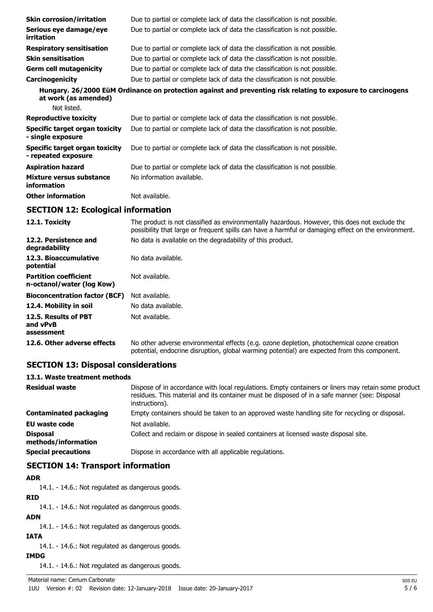| <b>Skin corrosion/irritation</b>                      | Due to partial or complete lack of data the classification is not possible.                                                                                                                           |
|-------------------------------------------------------|-------------------------------------------------------------------------------------------------------------------------------------------------------------------------------------------------------|
| Serious eye damage/eye<br>irritation                  | Due to partial or complete lack of data the classification is not possible.                                                                                                                           |
| <b>Respiratory sensitisation</b>                      | Due to partial or complete lack of data the classification is not possible.                                                                                                                           |
| <b>Skin sensitisation</b>                             | Due to partial or complete lack of data the classification is not possible.                                                                                                                           |
| <b>Germ cell mutagenicity</b>                         | Due to partial or complete lack of data the classification is not possible.                                                                                                                           |
| Carcinogenicity                                       | Due to partial or complete lack of data the classification is not possible.                                                                                                                           |
| at work (as amended)                                  | Hungary. 26/2000 EüM Ordinance on protection against and preventing risk relating to exposure to carcinogens                                                                                          |
| Not listed.                                           |                                                                                                                                                                                                       |
| <b>Reproductive toxicity</b>                          | Due to partial or complete lack of data the classification is not possible.                                                                                                                           |
| Specific target organ toxicity<br>- single exposure   | Due to partial or complete lack of data the classification is not possible.                                                                                                                           |
| Specific target organ toxicity<br>- repeated exposure | Due to partial or complete lack of data the classification is not possible.                                                                                                                           |
| <b>Aspiration hazard</b>                              | Due to partial or complete lack of data the classification is not possible.                                                                                                                           |
| Mixture versus substance<br>information               | No information available.                                                                                                                                                                             |
| <b>Other information</b>                              | Not available.                                                                                                                                                                                        |
| <b>SECTION 12: Ecological information</b>             |                                                                                                                                                                                                       |
| 12.1. Toxicity                                        | The product is not classified as environmentally hazardous. However, this does not exclude the<br>possibility that large or frequent spills can have a harmful or damaging effect on the environment. |
| 12.2. Persistence and<br>degradability                | No data is available on the degradability of this product.                                                                                                                                            |

| 12.3. Bioaccumulative<br>potential                        | No data available. |
|-----------------------------------------------------------|--------------------|
| <b>Partition coefficient</b><br>n-octanol/water (log Kow) | Not available.     |
| <b>Bioconcentration factor (BCF)</b>                      | Not available.     |
| 12.4. Mobility in soil                                    | No data available. |
| 12.5. Results of PBT                                      | Not available.     |

**and vPvB assessment 12.6. Other adverse effects** No other adverse environmental effects (e.g. ozone depletion, photochemical ozone creation potential, endocrine disruption, global warming potential) are expected from this component.

## **SECTION 13: Disposal considerations**

#### **13.1. Waste treatment methods**

| <b>Residual waste</b>                  | Dispose of in accordance with local regulations. Empty containers or liners may retain some product<br>residues. This material and its container must be disposed of in a safe manner (see: Disposal<br>instructions). |
|----------------------------------------|------------------------------------------------------------------------------------------------------------------------------------------------------------------------------------------------------------------------|
| <b>Contaminated packaging</b>          | Empty containers should be taken to an approved waste handling site for recycling or disposal.                                                                                                                         |
| EU waste code                          | Not available.                                                                                                                                                                                                         |
| <b>Disposal</b><br>methods/information | Collect and reclaim or dispose in sealed containers at licensed waste disposal site.                                                                                                                                   |
| <b>Special precautions</b>             | Dispose in accordance with all applicable regulations.                                                                                                                                                                 |

## **SECTION 14: Transport information**

#### **ADR**

14.1. - 14.6.: Not regulated as dangerous goods.

### **RID**

14.1. - 14.6.: Not regulated as dangerous goods.

## **ADN**

14.1. - 14.6.: Not regulated as dangerous goods.

### **IATA**

14.1. - 14.6.: Not regulated as dangerous goods.

## **IMDG**

14.1. - 14.6.: Not regulated as dangerous goods.